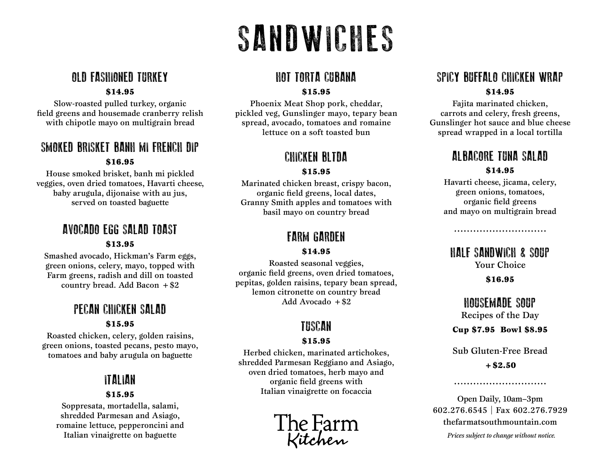## SANDWICHES

## OLD FASHIONED TURKEY

#### \$14.95

Slow-roasted pulled turkey, organic field greens and housemade cranberry relish with chipotle mayo on multigrain bread

#### SMOKED BRISKET BANH MI FRENCH DIP \$16.95

House smoked brisket, banh mi pickled veggies, oven dried tomatoes, Havarti cheese, baby arugula, dijonaise with au jus, served on toasted baguette

## AVOCADO EGG SALAD TOAST

#### \$13.95

Smashed avocado, Hickman's Farm eggs, green onions, celery, mayo, topped with Farm greens, radish and dill on toasted country bread. Add Bacon  $+ $2$ 

#### PECAN CHICKEN SALAD \$15.95

Roasted chicken, celery, golden raisins, green onions, toasted pecans, pesto mayo, tomatoes and baby arugula on baguette

## ITALIAN

#### \$15.95

Soppresata, mortadella, salami, shredded Parmesan and Asiago, romaine lettuce, pepperoncini and Italian vinaigrette on baguette

#### HOT TORTA CUBANA

#### \$15.95

Phoenix Meat Shop pork, cheddar, pickled veg, Gunslinger mayo, tepary bean spread, avocado, tomatoes and romaine lettuce on a soft toasted bun

### CHICKEN BLTDA

#### \$15.95

Marinated chicken breast, crispy bacon, organic field greens, local dates, Granny Smith apples and tomatoes with basil mayo on country bread

## FARM GARDEN

#### \$14.95

Roasted seasonal veggies, organic field greens, oven dried tomatoes, pepitas, golden raisins, tepary bean spread, lemon citronette on country bread Add Avocado  $+ $2$ 

## TUSCAN

#### \$15.95

Herbed chicken, marinated artichokes, shredded Parmesan Reggiano and Asiago, oven dried tomatoes, herb mayo and organic field greens with Italian vinaigrette on focaccia

The Farm<br>Kitchen

## SPICY BUFFALO CHICKEN WRAP \$14.95

Fajita marinated chicken, carrots and celery, fresh greens, Gunslinger hot sauce and blue cheese spread wrapped in a local tortilla

### ALBACORE TUNA SALAD \$14.95

Havarti cheese, jicama, celery, green onions, tomatoes, organic field greens and mayo on multigrain bread

HALF SANDWICH & SOUP Your Choice

#### \$16.95

HOUSEMADE SOUP Recipes of the Day

Cup \$7.95 Bowl \$8.95

Sub Gluten-Free Bread

 $+$ \$2.50

Open Daily, 10am–3pm 602.276.6545 | Fax 602.276.7929 thefarmatsouthmountain.com

*Prices subject to change without notice.*